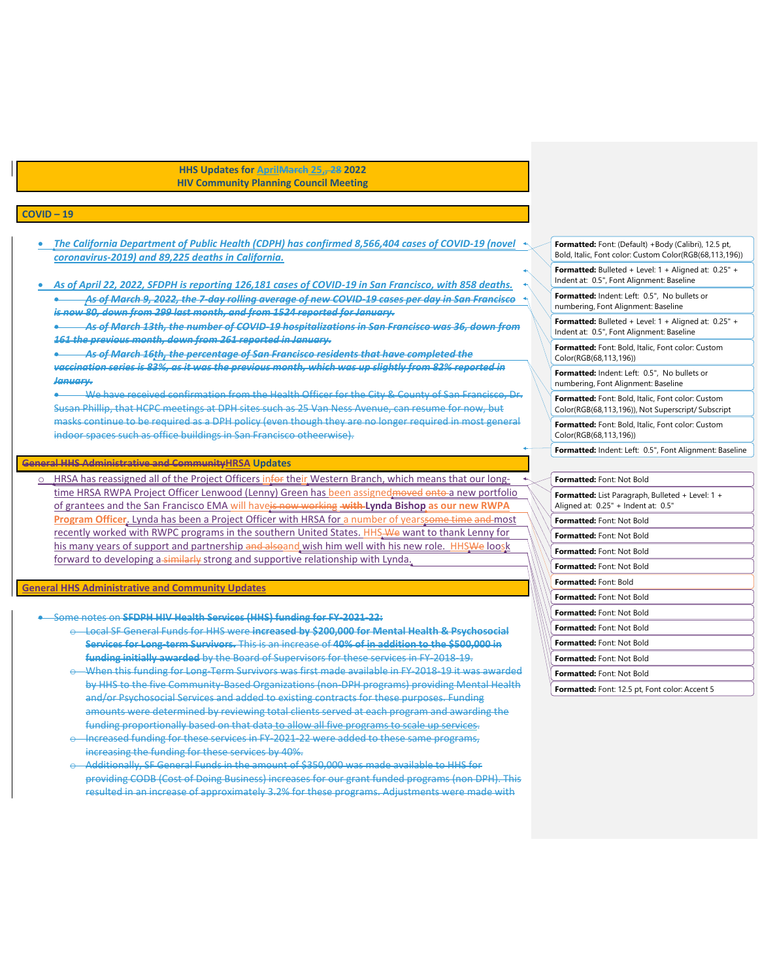**HHS Updates for AprilMarch 25,, 28 2022 HIV Community Planning Council Meeting**

## **COVID – 19**

- *The California Department of Public Health (CDPH) has confirmed 8,566,404 cases of COVID-19 (novel coronavirus-2019) and 89,225 deaths in California.*
- *As of April 22, 2022, SFDPH is reporting 126,181 cases of COVID-19 in San Francisco, with 858 deaths. As of March 9, 2022, the 7-day rolling average of new COVID-19 cases per day in San Francisco is now 80, down from 299 last month, and from 1524 reported for January.*

 *As of March 13th, the number of COVID-19 hospitalizations in San Francisco was 36, down from 161 the previous month, down from 261 reported in January.*

 *As of March 16th, the percentage of San Francisco residents that have completed the vaccination series is 83%, as it was the previous month, which was up slightly from 82% reported in January.*

 We have received confirmation from the Health Officer for the City & County of San Francisco, Dr. Susan Phillip, that HCPC meetings at DPH sites such as 25 Van Ness Avenue, can resume for now, but masks continue to be required as a DPH policy (even though they are no longer required in most general indoor spaces such as office buildings in San Francisco otheerwise).

## **General HHS Administrative and CommunityHRSA Updates**

HRSA has reassigned all of the Project Officers infor their Western Branch, which means that our longtime HRSA RWPA Project Officer Lenwood (Lenny) Green has been assigned moved onto a new portfolio of grantees and the San Francisco EMA will haveis now working **with Lynda Bishop as our new RWPA Program Officer.** Lynda has been a Project Officer with HRSA for a number of yearssome time and most recently worked with RWPC programs in the southern United States. HHS-We want to thank Lenny for his many years of support and partnership and alsoand wish him well with his new role. HHSWe loosk forward to developing a-similarly strong and supportive relationship with Lynda.

## **General HHS Administrative and Community Updates**

- Some notes on **SFDPH HIV Health Services (HHS) funding for FY-2021-22:**
	- o Local SF General Funds for HHS were **increased by \$200,000 for Mental Health & Psychosocial Services for Long-term Survivors.** This is an increase of **40% of in addition to the \$500,000 in funding initially awarded** by the Board of Supervisors for these services in FY-2018-19.
	- When this funding for Long-Term Survivors was first made available in FY-2018-19 it was awarded by HHS to the five Community-Based Organizations (non-DPH programs) providing Mental Health and/or Psychosocial Services and added to existing contracts for these purposes. Funding amounts were determined by reviewing total clients served at each program and awarding the funding proportionally based on that data to allow all five programs to scale up services.
	- Increased funding for these services in FY-2021-22 were added to these same programs, increasing the funding for these services by 40%.
	- o Additionally, SF General Funds in the amount of \$350,000 was made available to HHS for providing CODB (Cost of Doing Business) increases for our grant funded programs (non DPH). This resulted in an increase of approximately 3.2% for these programs. Adjustments were made with

**Formatted:** Font: (Default) +Body (Calibri), 12.5 pt, Bold, Italic, Font color: Custom Color(RGB(68,113,196))

**Formatted:** Bulleted + Level: 1 + Aligned at: 0.25" + Indent at: 0.5", Font Alignment: Baseline

**Formatted:** Indent: Left: 0.5", No bullets or numbering, Font Alignment: Baseline

**Formatted:** Bulleted + Level: 1 + Aligned at: 0.25" + Indent at: 0.5", Font Alignment: Baseline

**Formatted:** Font: Bold, Italic, Font color: Custom Color(RGB(68,113,196))

**Formatted:** Indent: Left: 0.5", No bullets or numbering, Font Alignment: Baseline

**Formatted:** Font: Bold, Italic, Font color: Custom Color(RGB(68,113,196)), Not Superscript/ Subscript

**Formatted:** Font: Bold, Italic, Font color: Custom Color(RGB(68,113,196))

**Formatted:** Indent: Left: 0.5", Font Alignment: Baseline

| Formatted: Font: Not Bold                                                                      |
|------------------------------------------------------------------------------------------------|
| <b>Formatted:</b> List Paragraph, Bulleted + Level: 1 +<br>Aligned at: 0.25" + Indent at: 0.5" |
| Formatted: Font: Not Bold                                                                      |
| <b>Formatted:</b> Font: Not Bold                                                               |
| <b>Formatted:</b> Font: Not Bold                                                               |
| <b>Formatted:</b> Font: Not Bold                                                               |
| <b>Formatted:</b> Font: Bold                                                                   |
| <b>Formatted:</b> Font: Not Bold                                                               |
| <b>Formatted:</b> Font: Not Bold                                                               |
| Formatted: Font: Not Bold                                                                      |
| <b>Formatted:</b> Font: Not Bold                                                               |
| <b>Formatted:</b> Font: Not Bold                                                               |
| Formatted: Font: Not Bold                                                                      |
| <b>Formatted:</b> Font: 12.5 pt, Font color: Accent 5                                          |